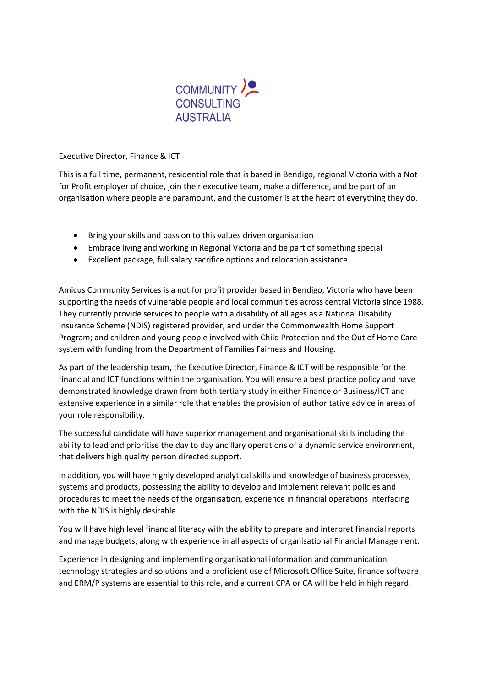

Executive Director, Finance & ICT

This is a full time, permanent, residential role that is based in Bendigo, regional Victoria with a Not for Profit employer of choice, join their executive team, make a difference, and be part of an organisation where people are paramount, and the customer is at the heart of everything they do.

- Bring your skills and passion to this values driven organisation
- Embrace living and working in Regional Victoria and be part of something special
- Excellent package, full salary sacrifice options and relocation assistance

Amicus Community Services is a not for profit provider based in Bendigo, Victoria who have been supporting the needs of vulnerable people and local communities across central Victoria since 1988. They currently provide services to people with a disability of all ages as a National Disability Insurance Scheme (NDIS) registered provider, and under the Commonwealth Home Support Program; and children and young people involved with Child Protection and the Out of Home Care system with funding from the Department of Families Fairness and Housing.

As part of the leadership team, the Executive Director, Finance & ICT will be responsible for the financial and ICT functions within the organisation. You will ensure a best practice policy and have demonstrated knowledge drawn from both tertiary study in either Finance or Business/ICT and extensive experience in a similar role that enables the provision of authoritative advice in areas of your role responsibility.

The successful candidate will have superior management and organisational skills including the ability to lead and prioritise the day to day ancillary operations of a dynamic service environment, that delivers high quality person directed support.

In addition, you will have highly developed analytical skills and knowledge of business processes, systems and products, possessing the ability to develop and implement relevant policies and procedures to meet the needs of the organisation, experience in financial operations interfacing with the NDIS is highly desirable.

You will have high level financial literacy with the ability to prepare and interpret financial reports and manage budgets, along with experience in all aspects of organisational Financial Management.

Experience in designing and implementing organisational information and communication technology strategies and solutions and a proficient use of Microsoft Office Suite, finance software and ERM/P systems are essential to this role, and a current CPA or CA will be held in high regard.